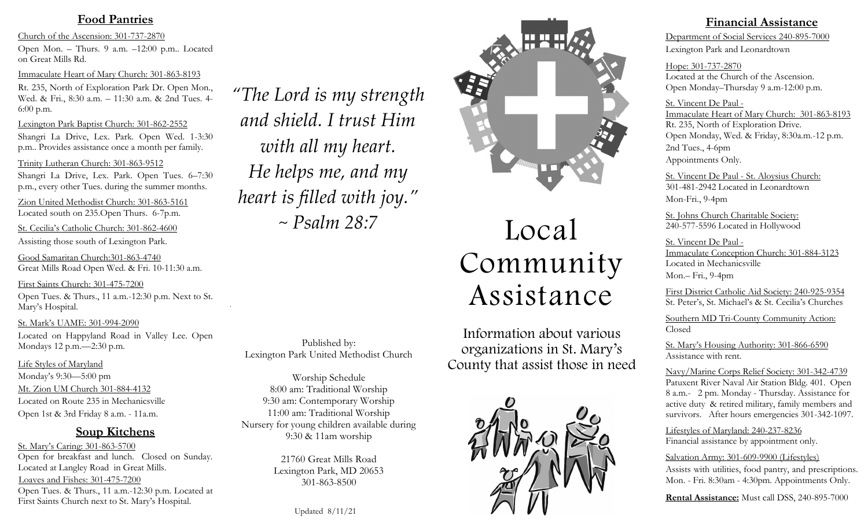## **Food Pantries**

Church of the Ascension: 301-737-2870 Open Mon. – Thurs. 9 a.m. –12:00 p.m.. Located on Great Mills Rd.

Immaculate Heart of Mary Church: 301-863-8193

Rt. 235, North of Exploration Park Dr. Open Mon., Wed. & Fri., 8:30 a.m. – 11:30 a.m. & 2nd Tues. 4- 6:00 p.m.

Lexington Park Baptist Church: 301-862-2552 Shangri La Drive, Lex. Park. Open Wed. 1-3:30 p.m.. Provides assistance once a month per family.

Trinity Lutheran Church: 301-863-9512

Shangri La Drive, Lex. Park. Open Tues. 6–7:30 p.m., every other Tues. during the summer months.

Zion United Methodist Church: 301-863-5161 Located south on 235.Open Thurs. 6-7p.m.

St. Cecilia's Catholic Church: 301-862-4600 Assisting those south of Lexington Park.

Good Samaritan Church:301-863-4740 Great Mills Road Open Wed. & Fri. 10-11:30 a.m.

First Saints Church: 301-475-7200 Open Tues. & Thurs., 11 a.m.-12:30 p.m. Next to St. Mary's Hospital.

St. Mark's UAME: 301-994-2090 Located on Happyland Road in Valley Lee. Open Mondays 12 p.m.—2:30 p.m.

Life Styles of Maryland Monday's 9:30—5:00 pm Mt. Zion UM Church 301-884-4132 Located on Route 235 in Mechanicsville Open 1st & 3rd Friday 8 a.m. - 11a.m.

## **Soup Kitchens**

St. Mary's Caring: 301-863-5700 Open for breakfast and lunch. Closed on Sunday. Located at Langley Road in Great Mills. Loaves and Fishes: 301-475-7200 Open Tues. & Thurs., 11 a.m.-12:30 p.m. Located at First Saints Church next to St. Mary's Hospital.

*"The Lord is my strength and shield. I trust Him with all my heart. He helps me, and my heart is filled with joy." ~ Psalm 28:7*

Published by: Lexington Park United Methodist Church

Worship Schedule 8:00 am: Traditional Worship 9:30 am: Contemporary Worship 11:00 am: Traditional Worship Nursery for young children available during 9:30 & 11am worship

> 21760 Great Mills Road Lexington Park, MD 20653 301-863-8500

> > Updated 8/11/21



# Local Community Assistance

Information about various organizations in St. Mary's County that assist those in need



**Financial Assistance**

Department of Social Services 240-895-7000 Lexington Park and Leonardtown

Hope: 301-737-2870 Located at the Church of the Ascension. Open Monday–Thursday 9 a.m-12:00 p.m.

St. Vincent De Paul - Immaculate Heart of Mary Church: 301-863-8193 Rt. 235, North of Exploration Drive. Open Monday, Wed. & Friday, 8:30a.m.-12 p.m. 2nd Tues., 4-6pm Appointments Only.

St. Vincent De Paul - St. Aloysius Church: 301-481-2942 Located in Leonardtown Mon-Fri., 9-4pm

St. Johns Church Charitable Society: 240-577-5596 Located in Hollywood

St. Vincent De Paul - Immaculate Conception Church: 301-884-3123 Located in Mechanicsville Mon.– Fri., 9-4pm

First District Catholic Aid Society: 240-925-9354 St. Peter's, St. Michael's & St. Cecilia's Churches

Southern MD Tri-County Community Action: Closed

St. Mary's Housing Authority: 301-866-6590 Assistance with rent.

Navy/Marine Corps Relief Society: 301-342-4739 Patuxent River Naval Air Station Bldg. 401. Open 8 a.m.- 2 pm. Monday - Thursday. Assistance for active duty & retired military, family members and survivors. After hours emergencies 301-342-1097.

Lifestyles of Maryland: 240-237-8236 Financial assistance by appointment only.

#### Salvation Army: 301-609-9900 (Lifestyles)

Assists with utilities, food pantry, and prescriptions. Mon. - Fri. 8:30am - 4:30pm. Appointments Only.

**Rental Assistance:** Must call DSS, 240-895-7000